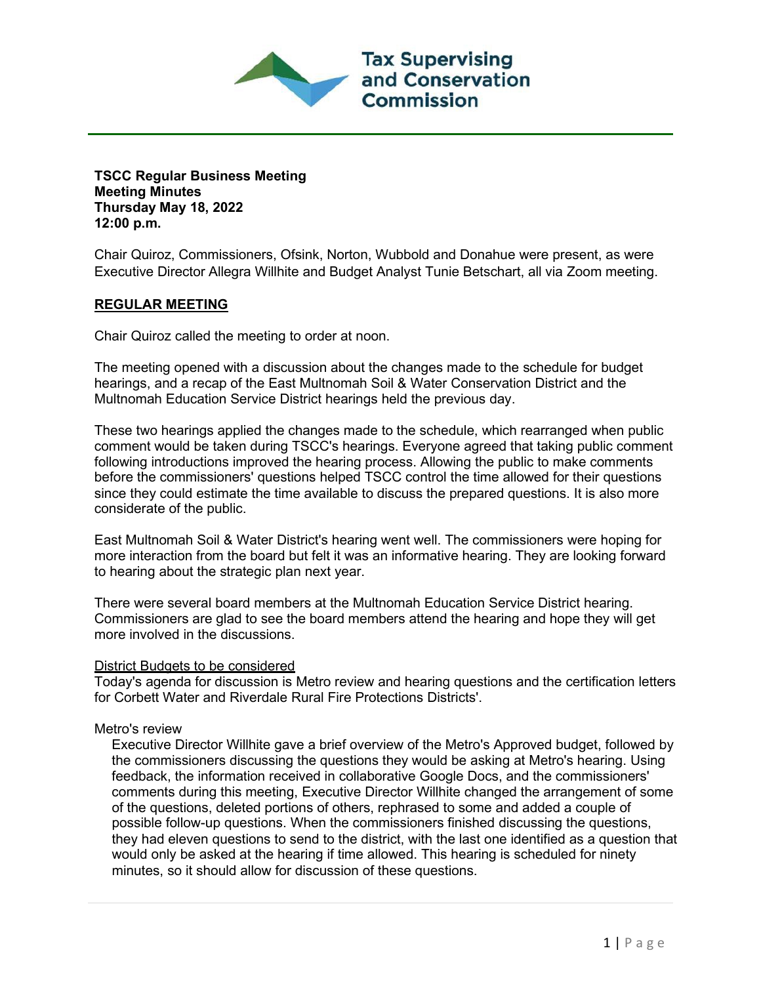

**TSCC Regular Business Meeting Meeting Minutes Thursday May 18, 2022 12:00 p.m.**

Chair Quiroz, Commissioners, Ofsink, Norton, Wubbold and Donahue were present, as were Executive Director Allegra Willhite and Budget Analyst Tunie Betschart, all via Zoom meeting.

## **REGULAR MEETING**

Chair Quiroz called the meeting to order at noon.

The meeting opened with a discussion about the changes made to the schedule for budget hearings, and a recap of the East Multnomah Soil & Water Conservation District and the Multnomah Education Service District hearings held the previous day.

These two hearings applied the changes made to the schedule, which rearranged when public comment would be taken during TSCC's hearings. Everyone agreed that taking public comment following introductions improved the hearing process. Allowing the public to make comments before the commissioners' questions helped TSCC control the time allowed for their questions since they could estimate the time available to discuss the prepared questions. It is also more considerate of the public.

East Multnomah Soil & Water District's hearing went well. The commissioners were hoping for more interaction from the board but felt it was an informative hearing. They are looking forward to hearing about the strategic plan next year.

There were several board members at the Multnomah Education Service District hearing. Commissioners are glad to see the board members attend the hearing and hope they will get more involved in the discussions.

## District Budgets to be considered

Today's agenda for discussion is Metro review and hearing questions and the certification letters for Corbett Water and Riverdale Rural Fire Protections Districts'.

## Metro's review

Executive Director Willhite gave a brief overview of the Metro's Approved budget, followed by the commissioners discussing the questions they would be asking at Metro's hearing. Using feedback, the information received in collaborative Google Docs, and the commissioners' comments during this meeting, Executive Director Willhite changed the arrangement of some of the questions, deleted portions of others, rephrased to some and added a couple of possible follow-up questions. When the commissioners finished discussing the questions, they had eleven questions to send to the district, with the last one identified as a question that would only be asked at the hearing if time allowed. This hearing is scheduled for ninety minutes, so it should allow for discussion of these questions.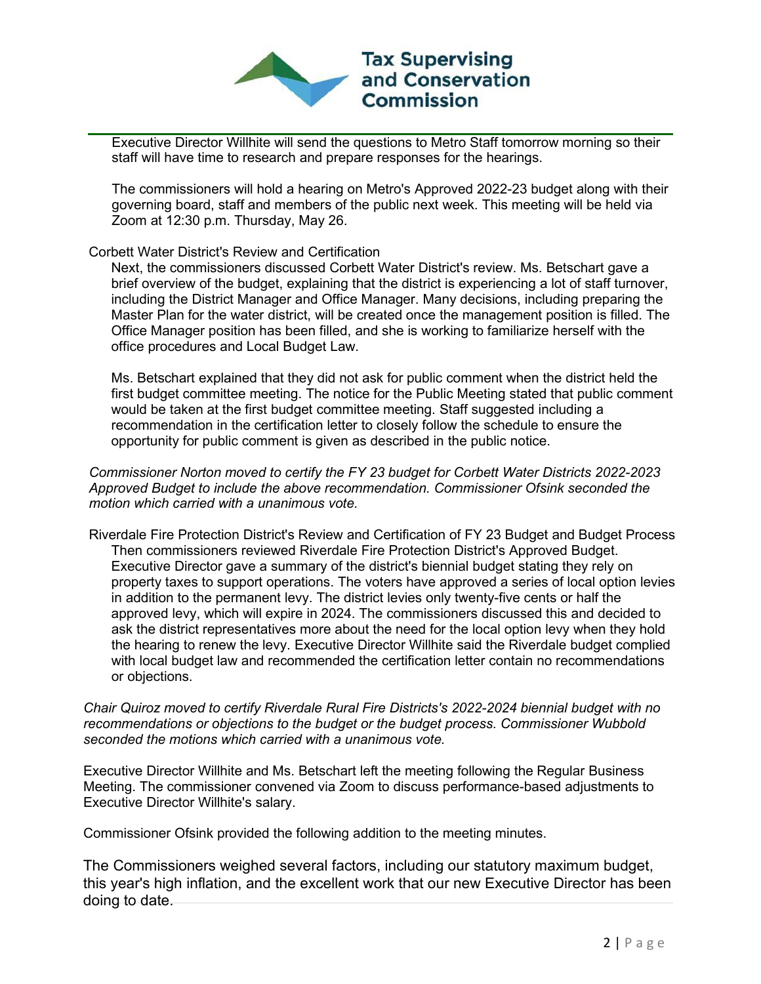

Executive Director Willhite will send the questions to Metro Staff tomorrow morning so their staff will have time to research and prepare responses for the hearings.

The commissioners will hold a hearing on Metro's Approved 2022-23 budget along with their governing board, staff and members of the public next week. This meeting will be held via Zoom at 12:30 p.m. Thursday, May 26.

## Corbett Water District's Review and Certification

Next, the commissioners discussed Corbett Water District's review. Ms. Betschart gave a brief overview of the budget, explaining that the district is experiencing a lot of staff turnover, including the District Manager and Office Manager. Many decisions, including preparing the Master Plan for the water district, will be created once the management position is filled. The Office Manager position has been filled, and she is working to familiarize herself with the office procedures and Local Budget Law.

Ms. Betschart explained that they did not ask for public comment when the district held the first budget committee meeting. The notice for the Public Meeting stated that public comment would be taken at the first budget committee meeting. Staff suggested including a recommendation in the certification letter to closely follow the schedule to ensure the opportunity for public comment is given as described in the public notice.

*Commissioner Norton moved to certify the FY 23 budget for Corbett Water Districts 2022-2023 Approved Budget to include the above recommendation. Commissioner Ofsink seconded the motion which carried with a unanimous vote.*

Riverdale Fire Protection District's Review and Certification of FY 23 Budget and Budget Process Then commissioners reviewed Riverdale Fire Protection District's Approved Budget. Executive Director gave a summary of the district's biennial budget stating they rely on property taxes to support operations. The voters have approved a series of local option levies in addition to the permanent levy. The district levies only twenty-five cents or half the approved levy, which will expire in 2024. The commissioners discussed this and decided to ask the district representatives more about the need for the local option levy when they hold the hearing to renew the levy. Executive Director Willhite said the Riverdale budget complied with local budget law and recommended the certification letter contain no recommendations or objections.

*Chair Quiroz moved to certify Riverdale Rural Fire Districts's 2022-2024 biennial budget with no recommendations or objections to the budget or the budget process. Commissioner Wubbold seconded the motions which carried with a unanimous vote.* 

Executive Director Willhite and Ms. Betschart left the meeting following the Regular Business Meeting. The commissioner convened via Zoom to discuss performance-based adjustments to Executive Director Willhite's salary.

Commissioner Ofsink provided the following addition to the meeting minutes.

The Commissioners weighed several factors, including our statutory maximum budget, this year's high inflation, and the excellent work that our new Executive Director has been doing to date.